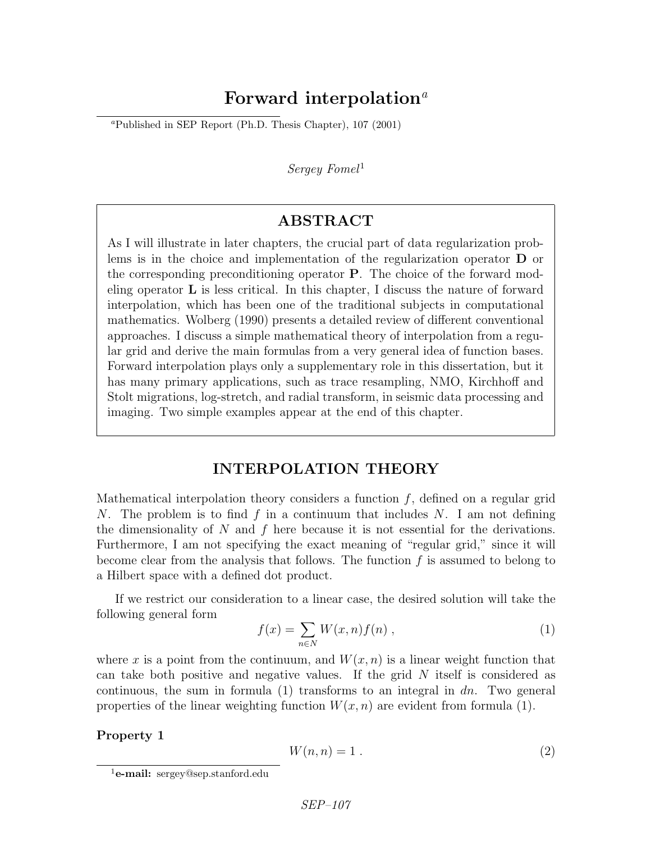# Forward interpolation<sup> $a$ </sup>

<sup>a</sup>Published in SEP Report (Ph.D. Thesis Chapter),  $107$  (2001)

 $Serequ$  Fomel<sup>1</sup>

## ABSTRACT

As I will illustrate in later chapters, the crucial part of data regularization problems is in the choice and implementation of the regularization operator D or the corresponding preconditioning operator P. The choice of the forward modeling operator  $\bf{L}$  is less critical. In this chapter, I discuss the nature of forward interpolation, which has been one of the traditional subjects in computational mathematics. Wolberg (1990) presents a detailed review of different conventional approaches. I discuss a simple mathematical theory of interpolation from a regular grid and derive the main formulas from a very general idea of function bases. Forward interpolation plays only a supplementary role in this dissertation, but it has many primary applications, such as trace resampling, NMO, Kirchhoff and Stolt migrations, log-stretch, and radial transform, in seismic data processing and imaging. Two simple examples appear at the end of this chapter.

## INTERPOLATION THEORY

Mathematical interpolation theory considers a function  $f$ , defined on a regular grid N. The problem is to find f in a continuum that includes N. I am not defining the dimensionality of  $N$  and  $f$  here because it is not essential for the derivations. Furthermore, I am not specifying the exact meaning of "regular grid," since it will become clear from the analysis that follows. The function  $f$  is assumed to belong to a Hilbert space with a defined dot product.

If we restrict our consideration to a linear case, the desired solution will take the following general form

$$
f(x) = \sum_{n \in N} W(x, n) f(n) , \qquad (1)
$$

where x is a point from the continuum, and  $W(x, n)$  is a linear weight function that can take both positive and negative values. If the grid  $N$  itself is considered as continuous, the sum in formula  $(1)$  transforms to an integral in dn. Two general properties of the linear weighting function  $W(x, n)$  are evident from formula (1).

Property 1

$$
W(n,n) = 1.
$$
\n<sup>(2)</sup>

<sup>&</sup>lt;sup>1</sup>e-mail: sergey@sep.stanford.edu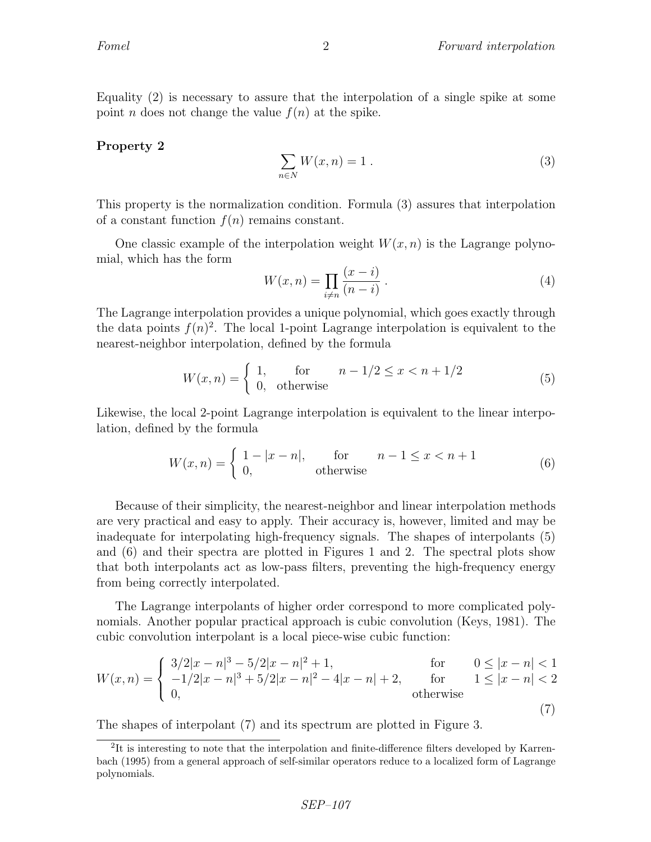Equality (2) is necessary to assure that the interpolation of a single spike at some point *n* does not change the value  $f(n)$  at the spike.

#### Property 2

$$
\sum_{n \in N} W(x, n) = 1. \tag{3}
$$

This property is the normalization condition. Formula (3) assures that interpolation of a constant function  $f(n)$  remains constant.

One classic example of the interpolation weight  $W(x, n)$  is the Lagrange polynomial, which has the form

$$
W(x, n) = \prod_{i \neq n} \frac{(x - i)}{(n - i)} \,. \tag{4}
$$

The Lagrange interpolation provides a unique polynomial, which goes exactly through the data points  $f(n)^2$ . The local 1-point Lagrange interpolation is equivalent to the nearest-neighbor interpolation, defined by the formula

$$
W(x,n) = \begin{cases} 1, & \text{for} \\ 0, & \text{otherwise} \end{cases} \quad n - 1/2 \le x < n + 1/2 \tag{5}
$$

Likewise, the local 2-point Lagrange interpolation is equivalent to the linear interpolation, defined by the formula

$$
W(x,n) = \begin{cases} 1 - |x - n|, & \text{for} \quad n - 1 \le x < n + 1 \\ 0, & \text{otherwise} \end{cases} \tag{6}
$$

Because of their simplicity, the nearest-neighbor and linear interpolation methods are very practical and easy to apply. Their accuracy is, however, limited and may be inadequate for interpolating high-frequency signals. The shapes of interpolants (5) and (6) and their spectra are plotted in Figures 1 and 2. The spectral plots show that both interpolants act as low-pass filters, preventing the high-frequency energy from being correctly interpolated.

The Lagrange interpolants of higher order correspond to more complicated polynomials. Another popular practical approach is cubic convolution (Keys, 1981). The cubic convolution interpolant is a local piece-wise cubic function:

$$
W(x,n) = \begin{cases} 3/2|x-n|^3 - 5/2|x-n|^2 + 1, & \text{for } 0 \le |x-n| < 1\\ -1/2|x-n|^3 + 5/2|x-n|^2 - 4|x-n| + 2, & \text{for } 1 \le |x-n| < 2\\ 0, & \text{otherwise} \end{cases}
$$
(7)

The shapes of interpolant (7) and its spectrum are plotted in Figure 3.

<sup>&</sup>lt;sup>2</sup>It is interesting to note that the interpolation and finite-difference filters developed by Karrenbach (1995) from a general approach of self-similar operators reduce to a localized form of Lagrange polynomials.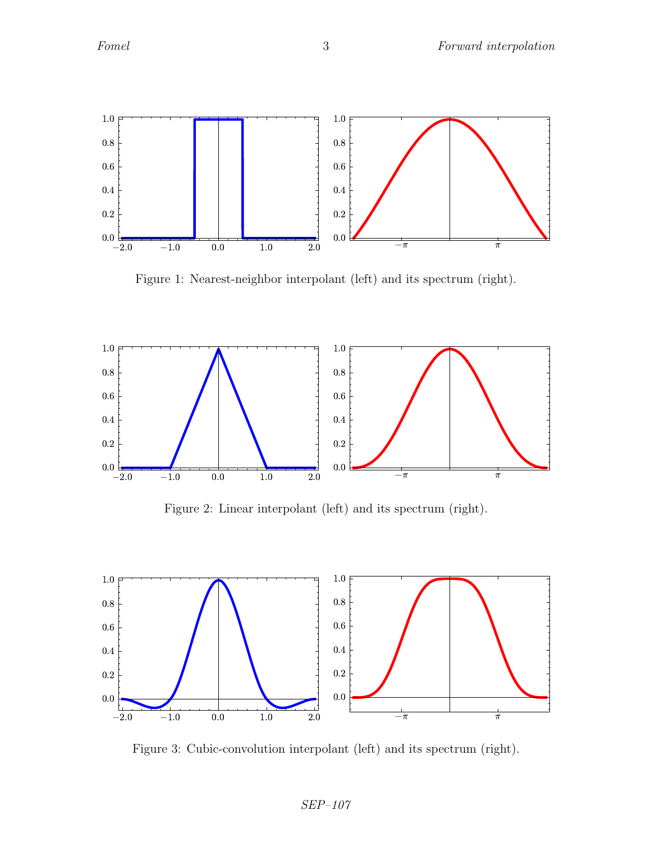

Figure 1: Nearest-neighbor interpolant (left) and its spectrum (right).



Figure 2: Linear interpolant (left) and its spectrum (right).



Figure 3: Cubic-convolution interpolant (left) and its spectrum (right).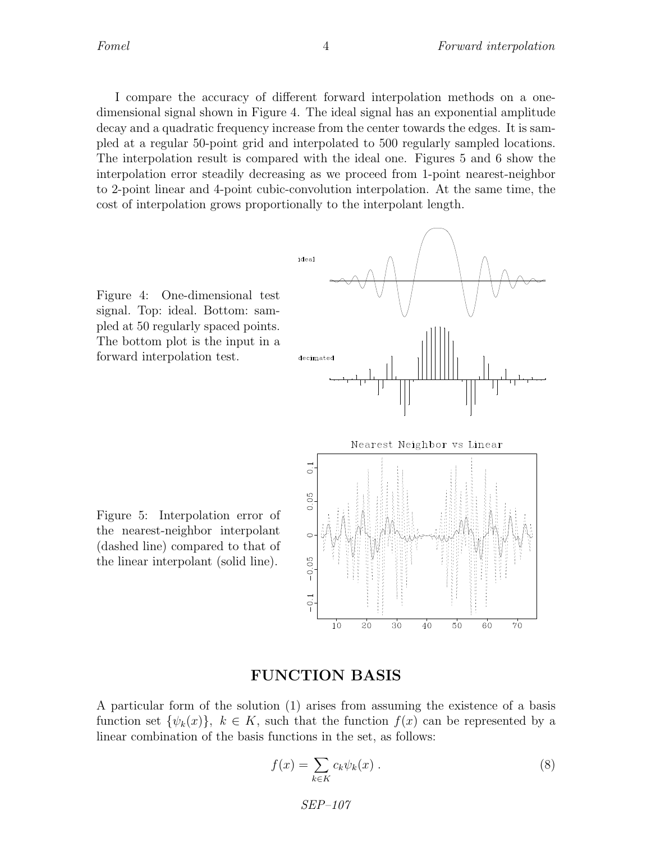I compare the accuracy of different forward interpolation methods on a onedimensional signal shown in Figure 4. The ideal signal has an exponential amplitude decay and a quadratic frequency increase from the center towards the edges. It is sampled at a regular 50-point grid and interpolated to 500 regularly sampled locations. The interpolation result is compared with the ideal one. Figures 5 and 6 show the interpolation error steadily decreasing as we proceed from 1-point nearest-neighbor to 2-point linear and 4-point cubic-convolution interpolation. At the same time, the cost of interpolation grows proportionally to the interpolant length.

Figure 4: One-dimensional test signal. Top: ideal. Bottom: sampled at 50 regularly spaced points. The bottom plot is the input in a forward interpolation test.



Figure 5: Interpolation error of the nearest-neighbor interpolant (dashed line) compared to that of the linear interpolant (solid line).

## FUNCTION BASIS

A particular form of the solution (1) arises from assuming the existence of a basis function set  $\{\psi_k(x)\}\$ ,  $k \in K$ , such that the function  $f(x)$  can be represented by a linear combination of the basis functions in the set, as follows:

$$
f(x) = \sum_{k \in K} c_k \psi_k(x) . \tag{8}
$$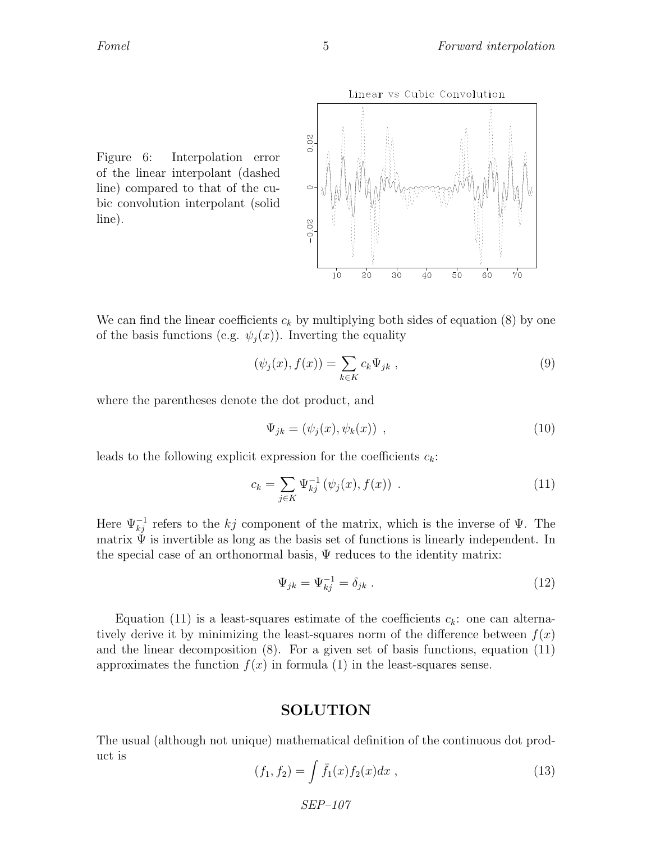

Figure 6: Interpolation error of the linear interpolant (dashed line) compared to that of the cubic convolution interpolant (solid line).

We can find the linear coefficients  $c_k$  by multiplying both sides of equation (8) by one of the basis functions (e.g.  $\psi_i(x)$ ). Inverting the equality

$$
(\psi_j(x), f(x)) = \sum_{k \in K} c_k \Psi_{jk} , \qquad (9)
$$

where the parentheses denote the dot product, and

$$
\Psi_{jk} = (\psi_j(x), \psi_k(x)), \qquad (10)
$$

leads to the following explicit expression for the coefficients  $c_k$ :

$$
c_k = \sum_{j \in K} \Psi_{kj}^{-1} (\psi_j(x), f(x)) . \tag{11}
$$

Here  $\Psi_{kj}^{-1}$  refers to the kj component of the matrix, which is the inverse of  $\Psi$ . The matrix  $\Psi$  is invertible as long as the basis set of functions is linearly independent. In the special case of an orthonormal basis,  $\Psi$  reduces to the identity matrix:

$$
\Psi_{jk} = \Psi_{kj}^{-1} = \delta_{jk} \ . \tag{12}
$$

Equation (11) is a least-squares estimate of the coefficients  $c_k$ : one can alternatively derive it by minimizing the least-squares norm of the difference between  $f(x)$ and the linear decomposition  $(8)$ . For a given set of basis functions, equation  $(11)$ approximates the function  $f(x)$  in formula (1) in the least-squares sense.

#### SOLUTION

The usual (although not unique) mathematical definition of the continuous dot product is

$$
(f_1, f_2) = \int \bar{f}_1(x) f_2(x) dx , \qquad (13)
$$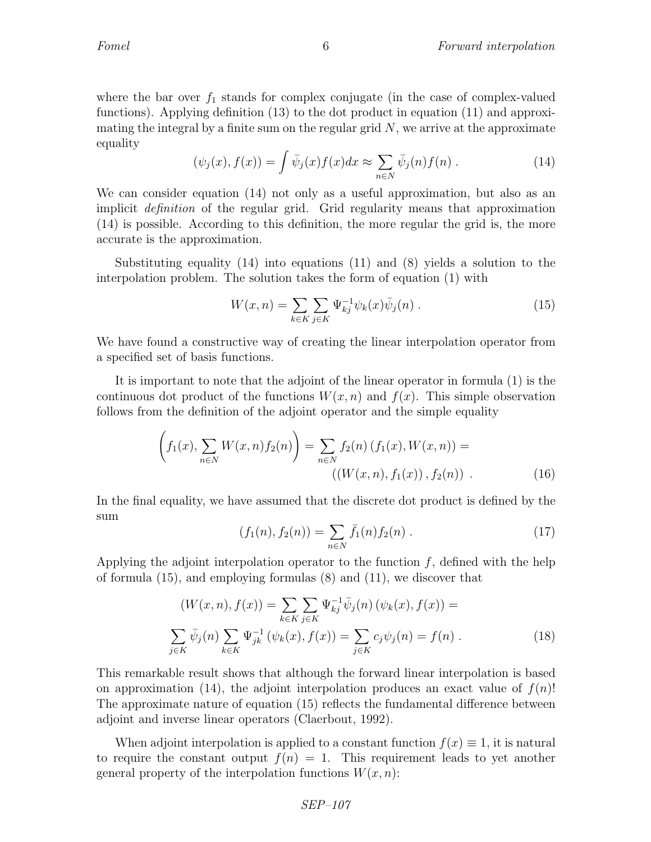where the bar over  $f_1$  stands for complex conjugate (in the case of complex-valued functions). Applying definition (13) to the dot product in equation (11) and approximating the integral by a finite sum on the regular grid  $N$ , we arrive at the approximate equality

$$
(\psi_j(x), f(x)) = \int \bar{\psi}_j(x) f(x) dx \approx \sum_{n \in N} \bar{\psi}_j(n) f(n) . \tag{14}
$$

We can consider equation (14) not only as a useful approximation, but also as an implicit definition of the regular grid. Grid regularity means that approximation (14) is possible. According to this definition, the more regular the grid is, the more accurate is the approximation.

Substituting equality (14) into equations (11) and (8) yields a solution to the interpolation problem. The solution takes the form of equation (1) with

$$
W(x, n) = \sum_{k \in K} \sum_{j \in K} \Psi_{kj}^{-1} \psi_k(x) \bar{\psi}_j(n) .
$$
 (15)

We have found a constructive way of creating the linear interpolation operator from a specified set of basis functions.

It is important to note that the adjoint of the linear operator in formula (1) is the continuous dot product of the functions  $W(x, n)$  and  $f(x)$ . This simple observation follows from the definition of the adjoint operator and the simple equality

$$
\left(f_1(x), \sum_{n \in N} W(x, n) f_2(n)\right) = \sum_{n \in N} f_2(n) \left(f_1(x), W(x, n)\right) = \left(\left(W(x, n), f_1(x)\right), f_2(n)\right). \tag{16}
$$

In the final equality, we have assumed that the discrete dot product is defined by the sum

$$
(f_1(n), f_2(n)) = \sum_{n \in N} \bar{f}_1(n) f_2(n) . \qquad (17)
$$

Applying the adjoint interpolation operator to the function  $f$ , defined with the help of formula (15), and employing formulas (8) and (11), we discover that

$$
(W(x, n), f(x)) = \sum_{k \in K} \sum_{j \in K} \Psi_{kj}^{-1} \overline{\psi}_j(n) \left( \psi_k(x), f(x) \right) =
$$
  

$$
\sum_{j \in K} \overline{\psi}_j(n) \sum_{k \in K} \Psi_{jk}^{-1} \left( \psi_k(x), f(x) \right) = \sum_{j \in K} c_j \psi_j(n) = f(n).
$$
 (18)

This remarkable result shows that although the forward linear interpolation is based on approximation (14), the adjoint interpolation produces an exact value of  $f(n)!$ The approximate nature of equation (15) reflects the fundamental difference between adjoint and inverse linear operators (Claerbout, 1992).

When adjoint interpolation is applied to a constant function  $f(x) \equiv 1$ , it is natural to require the constant output  $f(n) = 1$ . This requirement leads to yet another general property of the interpolation functions  $W(x, n)$ :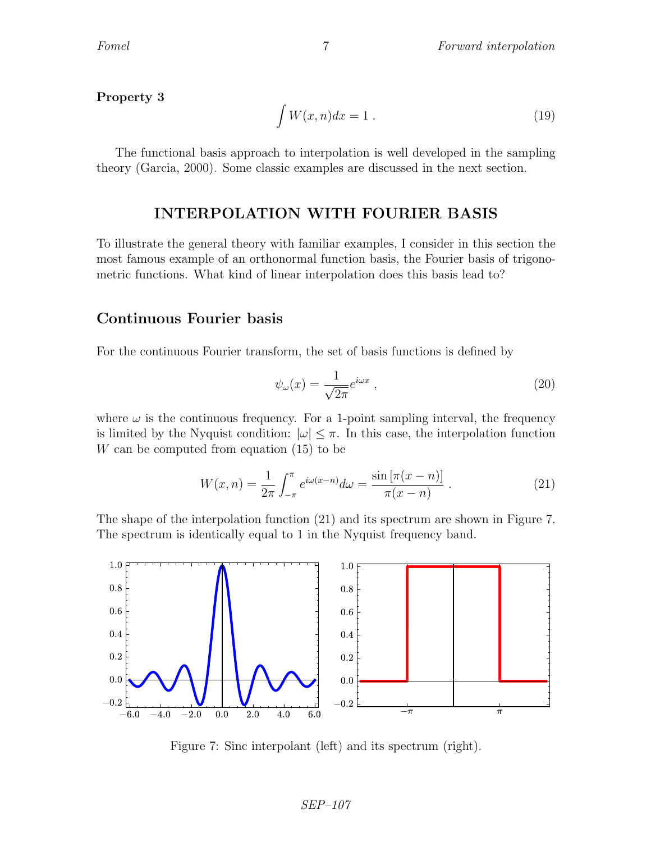#### Property 3

$$
\int W(x,n)dx = 1.
$$
\n(19)

The functional basis approach to interpolation is well developed in the sampling theory (Garcia, 2000). Some classic examples are discussed in the next section.

### INTERPOLATION WITH FOURIER BASIS

To illustrate the general theory with familiar examples, I consider in this section the most famous example of an orthonormal function basis, the Fourier basis of trigonometric functions. What kind of linear interpolation does this basis lead to?

### Continuous Fourier basis

For the continuous Fourier transform, the set of basis functions is defined by

$$
\psi_{\omega}(x) = \frac{1}{\sqrt{2\pi}} e^{i\omega x} \,, \tag{20}
$$

where  $\omega$  is the continuous frequency. For a 1-point sampling interval, the frequency is limited by the Nyquist condition:  $|\omega| \leq \pi$ . In this case, the interpolation function W can be computed from equation (15) to be

$$
W(x,n) = \frac{1}{2\pi} \int_{-\pi}^{\pi} e^{i\omega(x-n)} d\omega = \frac{\sin[\pi(x-n)]}{\pi(x-n)}.
$$
 (21)

The shape of the interpolation function (21) and its spectrum are shown in Figure 7. The spectrum is identically equal to 1 in the Nyquist frequency band.



Figure 7: Sinc interpolant (left) and its spectrum (right).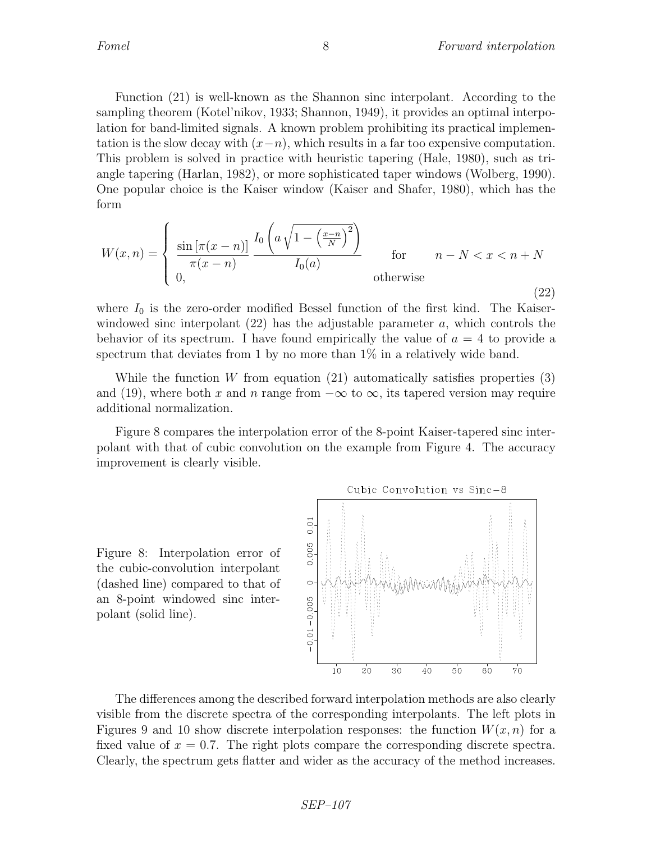Function (21) is well-known as the Shannon sinc interpolant. According to the sampling theorem (Kotel'nikov, 1933; Shannon, 1949), it provides an optimal interpolation for band-limited signals. A known problem prohibiting its practical implementation is the slow decay with  $(x-n)$ , which results in a far too expensive computation. This problem is solved in practice with heuristic tapering (Hale, 1980), such as triangle tapering (Harlan, 1982), or more sophisticated taper windows (Wolberg, 1990). One popular choice is the Kaiser window (Kaiser and Shafer, 1980), which has the form

$$
W(x,n) = \begin{cases} \n\frac{\sin\left[\pi(x-n)\right]}{\pi(x-n)} \frac{I_0\left(a\sqrt{1-\left(\frac{x-n}{N}\right)^2}\right)}{I_0(a)} & \text{for} \qquad n-N < x < n+N \\
0, & \text{otherwise}\n\end{cases} \tag{22}
$$

where  $I_0$  is the zero-order modified Bessel function of the first kind. The Kaiserwindowed sinc interpolant  $(22)$  has the adjustable parameter a, which controls the behavior of its spectrum. I have found empirically the value of  $a = 4$  to provide a spectrum that deviates from 1 by no more than 1% in a relatively wide band.

While the function W from equation (21) automatically satisfies properties  $(3)$ and (19), where both x and n range from  $-\infty$  to  $\infty$ , its tapered version may require additional normalization.

Figure 8 compares the interpolation error of the 8-point Kaiser-tapered sinc interpolant with that of cubic convolution on the example from Figure 4. The accuracy improvement is clearly visible.

Figure 8: Interpolation error of the cubic-convolution interpolant (dashed line) compared to that of an 8-point windowed sinc interpolant (solid line).



The differences among the described forward interpolation methods are also clearly visible from the discrete spectra of the corresponding interpolants. The left plots in Figures 9 and 10 show discrete interpolation responses: the function  $W(x, n)$  for a fixed value of  $x = 0.7$ . The right plots compare the corresponding discrete spectra. Clearly, the spectrum gets flatter and wider as the accuracy of the method increases.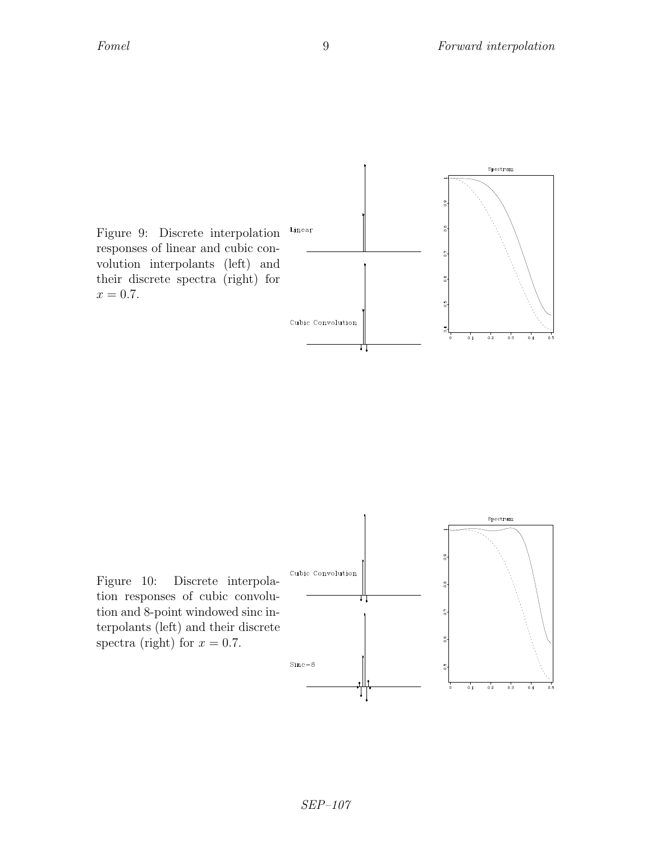

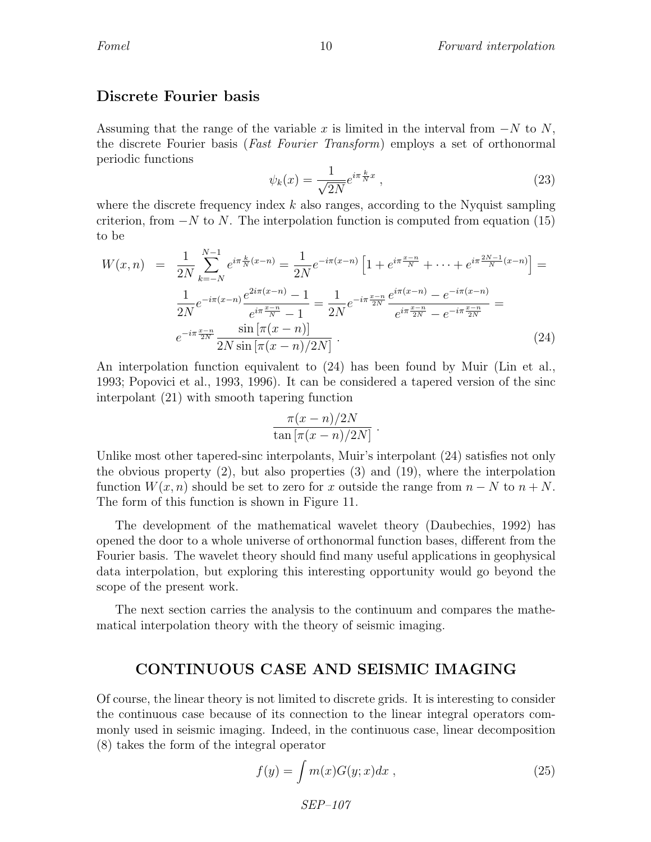### Discrete Fourier basis

Assuming that the range of the variable x is limited in the interval from  $-N$  to N, the discrete Fourier basis (Fast Fourier Transform) employs a set of orthonormal periodic functions

$$
\psi_k(x) = \frac{1}{\sqrt{2N}} e^{i\pi \frac{k}{N}x} \,,\tag{23}
$$

where the discrete frequency index  $k$  also ranges, according to the Nyquist sampling criterion, from  $-N$  to N. The interpolation function is computed from equation (15) to be

$$
W(x,n) = \frac{1}{2N} \sum_{k=-N}^{N-1} e^{i\pi \frac{k}{N}(x-n)} = \frac{1}{2N} e^{-i\pi(x-n)} \left[ 1 + e^{i\pi \frac{x-n}{N}} + \dots + e^{i\pi \frac{2N-1}{N}(x-n)} \right] =
$$
  

$$
\frac{1}{2N} e^{-i\pi(x-n)} \frac{e^{2i\pi(x-n)} - 1}{e^{i\pi \frac{x-n}{N}} - 1} = \frac{1}{2N} e^{-i\pi \frac{x-n}{2N}} \frac{e^{i\pi(x-n)} - e^{-i\pi(x-n)}}{e^{i\pi \frac{x-n}{2N}} - e^{-i\pi \frac{x-n}{2N}}} =
$$
  

$$
e^{-i\pi \frac{x-n}{2N}} \frac{\sin \left[ \pi(x-n) \right]}{2N \sin \left[ \pi(x-n)/2N \right]}.
$$
 (24)

An interpolation function equivalent to (24) has been found by Muir (Lin et al., 1993; Popovici et al., 1993, 1996). It can be considered a tapered version of the sinc interpolant (21) with smooth tapering function

$$
\frac{\pi(x-n)/2N}{\tan\left[\pi(x-n)/2N\right]}
$$

.

Unlike most other tapered-sinc interpolants, Muir's interpolant (24) satisfies not only the obvious property (2), but also properties (3) and (19), where the interpolation function  $W(x, n)$  should be set to zero for x outside the range from  $n - N$  to  $n + N$ . The form of this function is shown in Figure 11.

The development of the mathematical wavelet theory (Daubechies, 1992) has opened the door to a whole universe of orthonormal function bases, different from the Fourier basis. The wavelet theory should find many useful applications in geophysical data interpolation, but exploring this interesting opportunity would go beyond the scope of the present work.

The next section carries the analysis to the continuum and compares the mathematical interpolation theory with the theory of seismic imaging.

### CONTINUOUS CASE AND SEISMIC IMAGING

Of course, the linear theory is not limited to discrete grids. It is interesting to consider the continuous case because of its connection to the linear integral operators commonly used in seismic imaging. Indeed, in the continuous case, linear decomposition (8) takes the form of the integral operator

$$
f(y) = \int m(x)G(y;x)dx , \qquad (25)
$$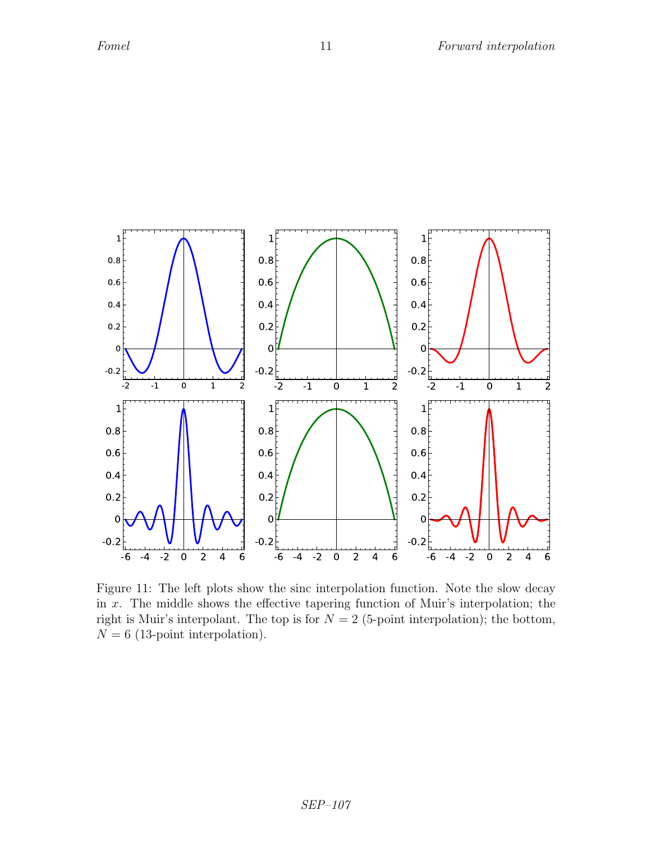

Figure 11: The left plots show the sinc interpolation function. Note the slow decay in  $x$ . The middle shows the effective tapering function of Muir's interpolation; the right is Muir's interpolant. The top is for  $N = 2$  (5-point interpolation); the bottom,  $N = 6$  (13-point interpolation).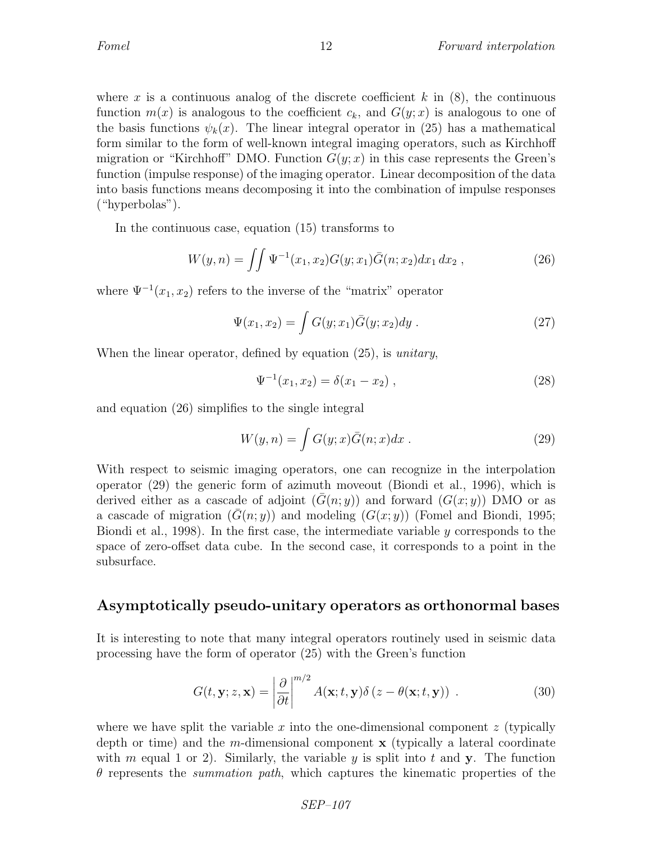where x is a continuous analog of the discrete coefficient k in  $(8)$ , the continuous function  $m(x)$  is analogous to the coefficient  $c_k$ , and  $G(y; x)$  is analogous to one of the basis functions  $\psi_k(x)$ . The linear integral operator in (25) has a mathematical form similar to the form of well-known integral imaging operators, such as Kirchhoff migration or "Kirchhoff" DMO. Function  $G(y; x)$  in this case represents the Green's function (impulse response) of the imaging operator. Linear decomposition of the data into basis functions means decomposing it into the combination of impulse responses ("hyperbolas").

In the continuous case, equation (15) transforms to

$$
W(y,n) = \iint \Psi^{-1}(x_1,x_2)G(y;x_1)\bar{G}(n;x_2)dx_1 dx_2 , \qquad (26)
$$

where  $\Psi^{-1}(x_1, x_2)$  refers to the inverse of the "matrix" operator

$$
\Psi(x_1, x_2) = \int G(y; x_1) \bar{G}(y; x_2) dy . \tag{27}
$$

When the linear operator, defined by equation (25), is *unitary*,

$$
\Psi^{-1}(x_1, x_2) = \delta(x_1 - x_2) , \qquad (28)
$$

and equation (26) simplifies to the single integral

$$
W(y,n) = \int G(y;x)\bar{G}(n;x)dx .
$$
 (29)

With respect to seismic imaging operators, one can recognize in the interpolation operator (29) the generic form of azimuth moveout (Biondi et al., 1996), which is derived either as a cascade of adjoint  $(G(n; y))$  and forward  $(G(x; y))$  DMO or as a cascade of migration  $(G(n; y))$  and modeling  $(G(x; y))$  (Fomel and Biondi, 1995; Biondi et al., 1998). In the first case, the intermediate variable  $y$  corresponds to the space of zero-offset data cube. In the second case, it corresponds to a point in the subsurface.

### Asymptotically pseudo-unitary operators as orthonormal bases

It is interesting to note that many integral operators routinely used in seismic data processing have the form of operator (25) with the Green's function

$$
G(t, \mathbf{y}; z, \mathbf{x}) = \left| \frac{\partial}{\partial t} \right|^{m/2} A(\mathbf{x}; t, \mathbf{y}) \delta(z - \theta(\mathbf{x}; t, \mathbf{y})) \tag{30}
$$

where we have split the variable  $x$  into the one-dimensional component  $z$  (typically depth or time) and the m-dimensional component  $x$  (typically a lateral coordinate with m equal 1 or 2). Similarly, the variable y is split into t and y. The function  $\theta$  represents the *summation path*, which captures the kinematic properties of the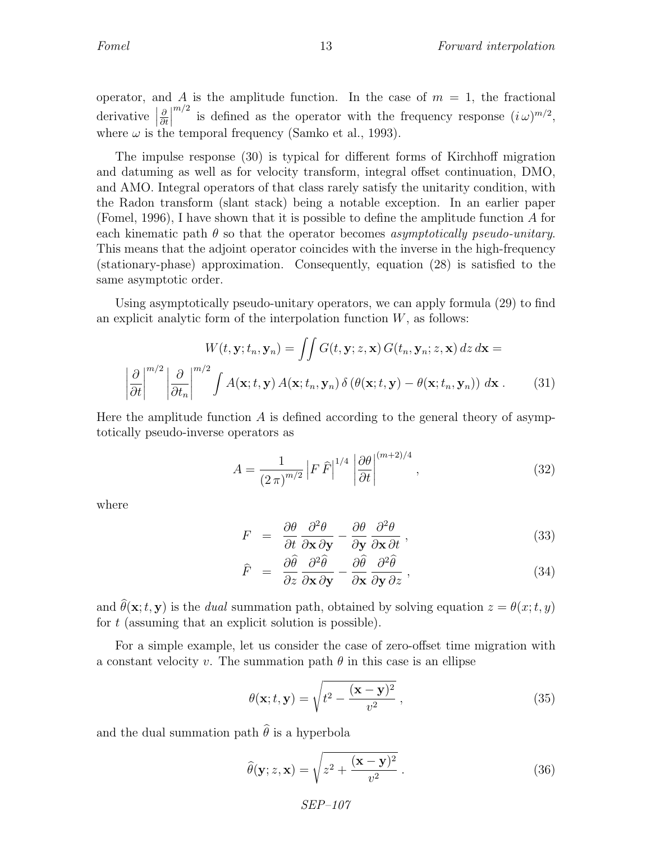operator, and A is the amplitude function. In the case of  $m = 1$ , the fractional  $\text{derivative}$ ∂ ∂t  $\begin{array}{c} \n\end{array}$  $^{m/2}$  is defined as the operator with the frequency response  $(i\omega)^{m/2}$ , where  $\omega$  is the temporal frequency (Samko et al., 1993).

The impulse response (30) is typical for different forms of Kirchhoff migration and datuming as well as for velocity transform, integral offset continuation, DMO, and AMO. Integral operators of that class rarely satisfy the unitarity condition, with the Radon transform (slant stack) being a notable exception. In an earlier paper (Fomel, 1996), I have shown that it is possible to define the amplitude function A for each kinematic path  $\theta$  so that the operator becomes *asymptotically pseudo-unitary*. This means that the adjoint operator coincides with the inverse in the high-frequency (stationary-phase) approximation. Consequently, equation (28) is satisfied to the same asymptotic order.

Using asymptotically pseudo-unitary operators, we can apply formula (29) to find an explicit analytic form of the interpolation function  $W$ , as follows:

$$
W(t, \mathbf{y}; t_n, \mathbf{y}_n) = \iint G(t, \mathbf{y}; z, \mathbf{x}) G(t_n, \mathbf{y}_n; z, \mathbf{x}) dz d\mathbf{x} =
$$

$$
\left| \frac{\partial}{\partial t} \right|^{m/2} \left| \frac{\partial}{\partial t_n} \right|^{m/2} \int A(\mathbf{x}; t, \mathbf{y}) A(\mathbf{x}; t_n, \mathbf{y}_n) \delta(\theta(\mathbf{x}; t, \mathbf{y}) - \theta(\mathbf{x}; t_n, \mathbf{y}_n)) d\mathbf{x}.
$$
(31)

Here the amplitude function  $A$  is defined according to the general theory of asymptotically pseudo-inverse operators as

$$
A = \frac{1}{\left(2\,\pi\right)^{m/2}} \left| F \,\hat{F} \right|^{1/4} \left| \frac{\partial \theta}{\partial t} \right|^{(m+2)/4},\tag{32}
$$

where

$$
F = \frac{\partial \theta}{\partial t} \frac{\partial^2 \theta}{\partial \mathbf{x} \partial \mathbf{y}} - \frac{\partial \theta}{\partial \mathbf{y}} \frac{\partial^2 \theta}{\partial \mathbf{x} \partial t},
$$
(33)

$$
\hat{F} = \frac{\partial \hat{\theta}}{\partial z} \frac{\partial^2 \hat{\theta}}{\partial \mathbf{x} \partial \mathbf{y}} - \frac{\partial \hat{\theta}}{\partial \mathbf{x}} \frac{\partial^2 \hat{\theta}}{\partial y \partial z},
$$
\n(34)

and  $\hat{\theta}(\mathbf{x};t,\mathbf{y})$  is the *dual* summation path, obtained by solving equation  $z = \theta(x;t,y)$ for  $t$  (assuming that an explicit solution is possible).

For a simple example, let us consider the case of zero-offset time migration with a constant velocity v. The summation path  $\theta$  in this case is an ellipse

$$
\theta(\mathbf{x}; t, \mathbf{y}) = \sqrt{t^2 - \frac{(\mathbf{x} - \mathbf{y})^2}{v^2}},
$$
\n(35)

and the dual summation path  $\hat{\theta}$  is a hyperbola

$$
\widehat{\theta}(\mathbf{y}; z, \mathbf{x}) = \sqrt{z^2 + \frac{(\mathbf{x} - \mathbf{y})^2}{v^2}}.
$$
\n(36)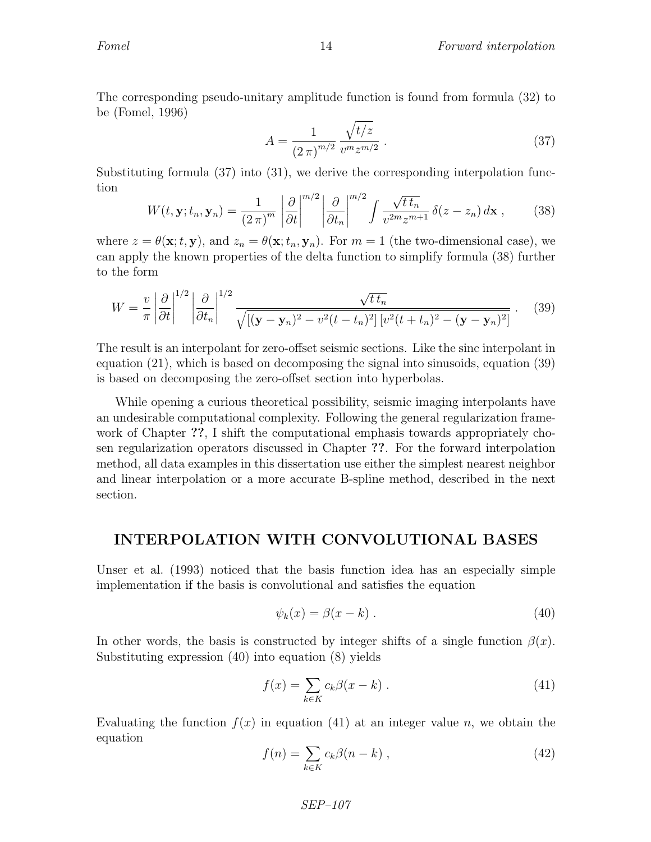The corresponding pseudo-unitary amplitude function is found from formula (32) to be (Fomel, 1996)

$$
A = \frac{1}{(2\pi)^{m/2}} \frac{\sqrt{t/z}}{v^m z^{m/2}}.
$$
 (37)

Substituting formula (37) into (31), we derive the corresponding interpolation function  $\sqrt{2}$  $\sqrt{2}$ 

$$
W(t, \mathbf{y}; t_n, \mathbf{y}_n) = \frac{1}{(2\pi)^m} \left| \frac{\partial}{\partial t} \right|^{m/2} \left| \frac{\partial}{\partial t_n} \right|^{m/2} \int \frac{\sqrt{t \, t_n}}{v^{2m} z^{m+1}} \, \delta(z - z_n) \, d\mathbf{x} \;, \tag{38}
$$

where  $z = \theta(\mathbf{x}; t, \mathbf{y})$ , and  $z_n = \theta(\mathbf{x}; t_n, \mathbf{y}_n)$ . For  $m = 1$  (the two-dimensional case), we can apply the known properties of the delta function to simplify formula (38) further to the form

$$
W = \frac{v}{\pi} \left| \frac{\partial}{\partial t} \right|^{1/2} \left| \frac{\partial}{\partial t_n} \right|^{1/2} \frac{\sqrt{t \, t_n}}{\sqrt{\left[ (\mathbf{y} - \mathbf{y}_n)^2 - v^2 (t - t_n)^2 \right] \left[ v^2 (t + t_n)^2 - (\mathbf{y} - \mathbf{y}_n)^2 \right]}} \,. \tag{39}
$$

The result is an interpolant for zero-offset seismic sections. Like the sinc interpolant in equation (21), which is based on decomposing the signal into sinusoids, equation (39) is based on decomposing the zero-offset section into hyperbolas.

While opening a curious theoretical possibility, seismic imaging interpolants have an undesirable computational complexity. Following the general regularization framework of Chapter ??, I shift the computational emphasis towards appropriately chosen regularization operators discussed in Chapter ??. For the forward interpolation method, all data examples in this dissertation use either the simplest nearest neighbor and linear interpolation or a more accurate B-spline method, described in the next section.

### INTERPOLATION WITH CONVOLUTIONAL BASES

Unser et al. (1993) noticed that the basis function idea has an especially simple implementation if the basis is convolutional and satisfies the equation

$$
\psi_k(x) = \beta(x - k) \tag{40}
$$

In other words, the basis is constructed by integer shifts of a single function  $\beta(x)$ . Substituting expression (40) into equation (8) yields

$$
f(x) = \sum_{k \in K} c_k \beta(x - k) \tag{41}
$$

Evaluating the function  $f(x)$  in equation (41) at an integer value n, we obtain the equation

$$
f(n) = \sum_{k \in K} c_k \beta(n - k) , \qquad (42)
$$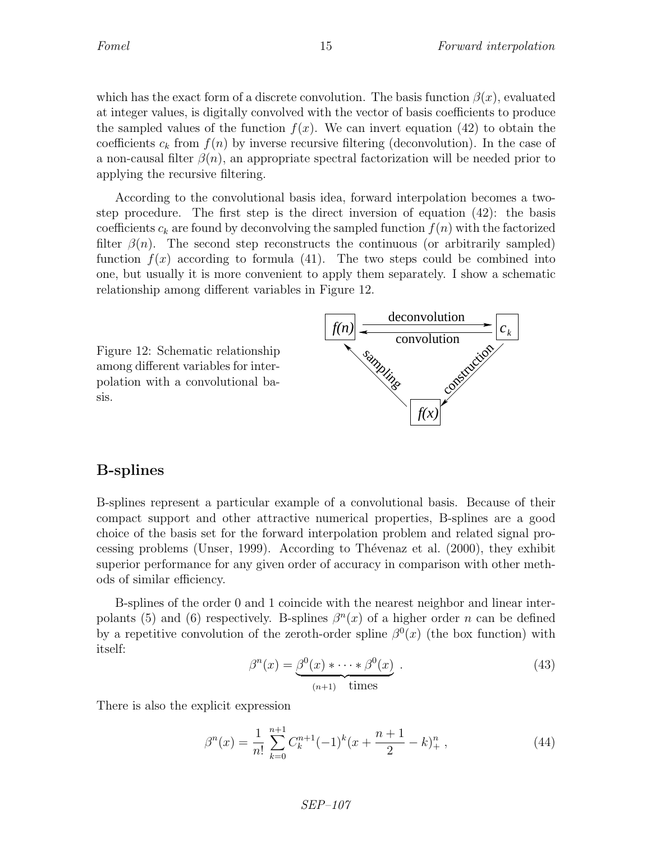which has the exact form of a discrete convolution. The basis function  $\beta(x)$ , evaluated at integer values, is digitally convolved with the vector of basis coefficients to produce the sampled values of the function  $f(x)$ . We can invert equation (42) to obtain the coefficients  $c_k$  from  $f(n)$  by inverse recursive filtering (deconvolution). In the case of a non-causal filter  $\beta(n)$ , an appropriate spectral factorization will be needed prior to applying the recursive filtering.

According to the convolutional basis idea, forward interpolation becomes a twostep procedure. The first step is the direct inversion of equation (42): the basis coefficients  $c_k$  are found by deconvolving the sampled function  $f(n)$  with the factorized filter  $\beta(n)$ . The second step reconstructs the continuous (or arbitrarily sampled) function  $f(x)$  according to formula (41). The two steps could be combined into one, but usually it is more convenient to apply them separately. I show a schematic relationship among different variables in Figure 12.

Figure 12: Schematic relationship among different variables for interpolation with a convolutional basis.



## B-splines

B-splines represent a particular example of a convolutional basis. Because of their compact support and other attractive numerical properties, B-splines are a good choice of the basis set for the forward interpolation problem and related signal processing problems (Unser, 1999). According to Thévenaz et al.  $(2000)$ , they exhibit superior performance for any given order of accuracy in comparison with other methods of similar efficiency.

B-splines of the order 0 and 1 coincide with the nearest neighbor and linear interpolants (5) and (6) respectively. B-splines  $\beta^{n}(x)$  of a higher order n can be defined by a repetitive convolution of the zeroth-order spline  $\beta^{0}(x)$  (the box function) with itself:

$$
\beta^{n}(x) = \underbrace{\beta^{0}(x) * \cdots * \beta^{0}(x)}_{(n+1) \text{ times}}.
$$
\n(43)

There is also the explicit expression

$$
\beta^{n}(x) = \frac{1}{n!} \sum_{k=0}^{n+1} C_{k}^{n+1} (-1)^{k} (x + \frac{n+1}{2} - k)_{+}^{n}, \qquad (44)
$$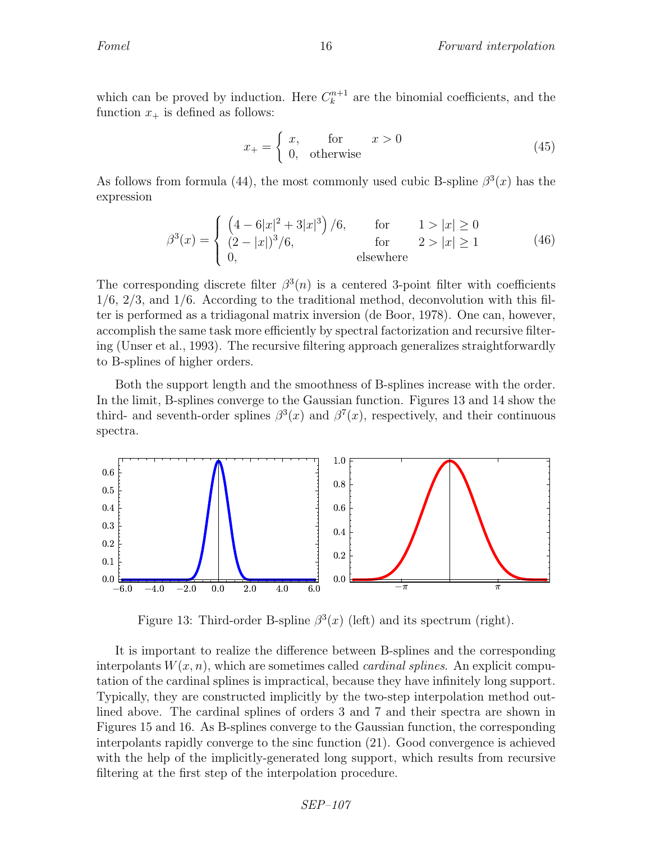which can be proved by induction. Here  $C_k^{n+1}$  are the binomial coefficients, and the function  $x_+$  is defined as follows:

$$
x_{+} = \begin{cases} x, & \text{for} \\ 0, & \text{otherwise} \end{cases} \quad x > 0 \tag{45}
$$

As follows from formula (44), the most commonly used cubic B-spline  $\beta^3(x)$  has the expression

$$
\beta^{3}(x) = \begin{cases}\n\left(4 - 6|x|^{2} + 3|x|^{3}\right) / 6, & \text{for} & 1 > |x| \ge 0 \\
(2 - |x|)^{3} / 6, & \text{for} & 2 > |x| \ge 1 \\
0, & \text{elsewhere}\n\end{cases}
$$
\n(46)

The corresponding discrete filter  $\beta^3(n)$  is a centered 3-point filter with coefficients  $1/6$ ,  $2/3$ , and  $1/6$ . According to the traditional method, deconvolution with this filter is performed as a tridiagonal matrix inversion (de Boor, 1978). One can, however, accomplish the same task more efficiently by spectral factorization and recursive filtering (Unser et al., 1993). The recursive filtering approach generalizes straightforwardly to B-splines of higher orders.

Both the support length and the smoothness of B-splines increase with the order. In the limit, B-splines converge to the Gaussian function. Figures 13 and 14 show the third- and seventh-order splines  $\beta^3(x)$  and  $\beta^7(x)$ , respectively, and their continuous spectra.



Figure 13: Third-order B-spline  $\beta^3(x)$  (left) and its spectrum (right).

It is important to realize the difference between B-splines and the corresponding interpolants  $W(x, n)$ , which are sometimes called *cardinal splines*. An explicit computation of the cardinal splines is impractical, because they have infinitely long support. Typically, they are constructed implicitly by the two-step interpolation method outlined above. The cardinal splines of orders 3 and 7 and their spectra are shown in Figures 15 and 16. As B-splines converge to the Gaussian function, the corresponding interpolants rapidly converge to the sinc function (21). Good convergence is achieved with the help of the implicitly-generated long support, which results from recursive filtering at the first step of the interpolation procedure.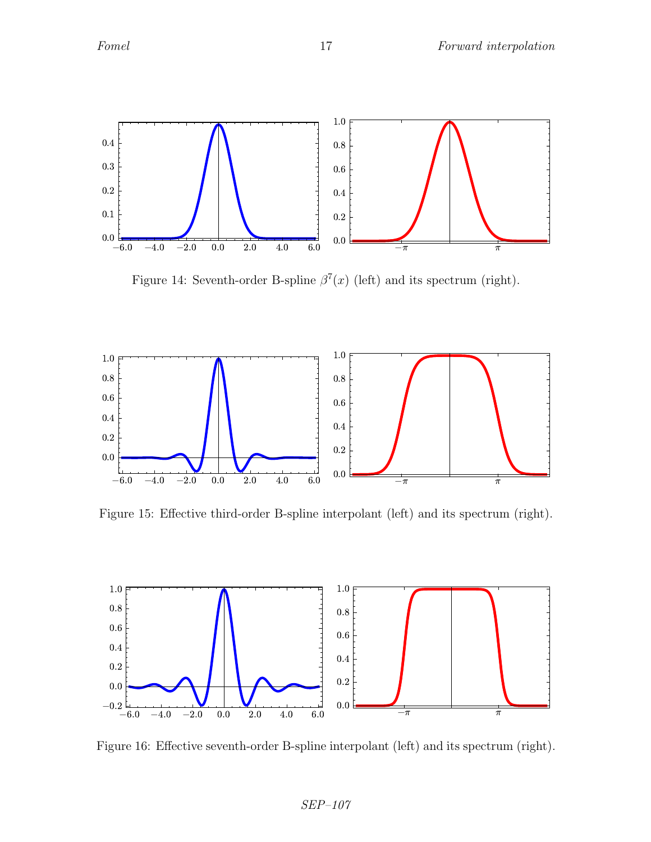

Figure 14: Seventh-order B-spline  $\beta^{7}(x)$  (left) and its spectrum (right).



Figure 15: Effective third-order B-spline interpolant (left) and its spectrum (right).



Figure 16: Effective seventh-order B-spline interpolant (left) and its spectrum (right).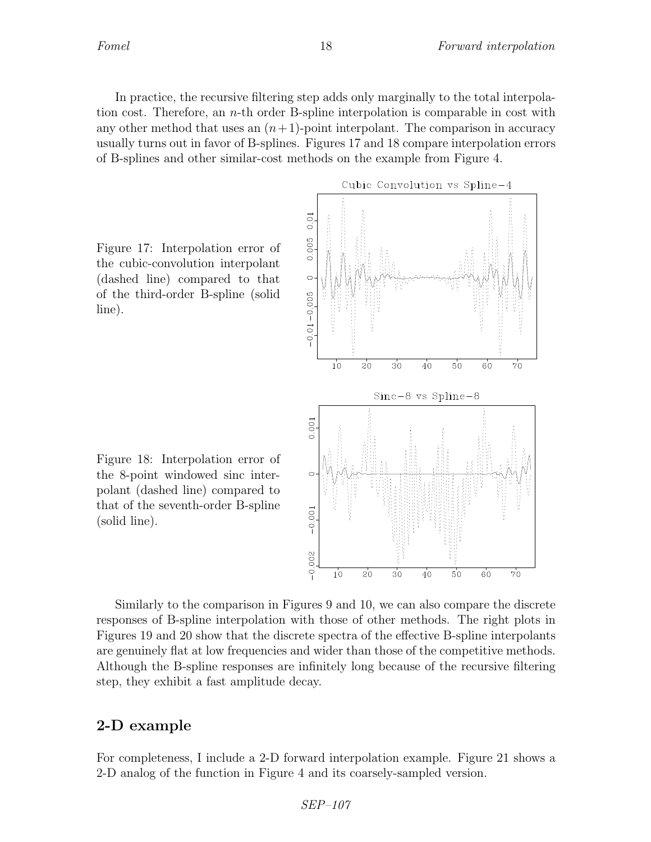In practice, the recursive filtering step adds only marginally to the total interpolation cost. Therefore, an  $n$ -th order B-spline interpolation is comparable in cost with any other method that uses an  $(n+1)$ -point interpolant. The comparison in accuracy usually turns out in favor of B-splines. Figures 17 and 18 compare interpolation errors of B-splines and other similar-cost methods on the example from Figure 4.

Figure 17: Interpolation error of the cubic-convolution interpolant (dashed line) compared to that of the third-order B-spline (solid line).

Figure 18: Interpolation error of the 8-point windowed sinc interpolant (dashed line) compared to that of the seventh-order B-spline (solid line).

Cubic Convolution vs Spline-4  $0.01$ 0.005  $\circ$  $-0.01 - 0.005$  $10$  $20^{\circ}$  $30^{\circ}$  $40$  $50$  $60$  $70$  $Sinc-8$  vs  $Spline-8$ 0.001  $-0.001$  $-0.002$  $10$  $20^{\circ}$  $30^{\circ}$  $40$  $50$  $6^{\circ}$  $70^{\circ}$ 

Similarly to the comparison in Figures 9 and 10, we can also compare the discrete responses of B-spline interpolation with those of other methods. The right plots in Figures 19 and 20 show that the discrete spectra of the effective B-spline interpolants are genuinely flat at low frequencies and wider than those of the competitive methods. Although the B-spline responses are infinitely long because of the recursive filtering step, they exhibit a fast amplitude decay.

## 2-D example

For completeness, I include a 2-D forward interpolation example. Figure 21 shows a 2-D analog of the function in Figure 4 and its coarsely-sampled version.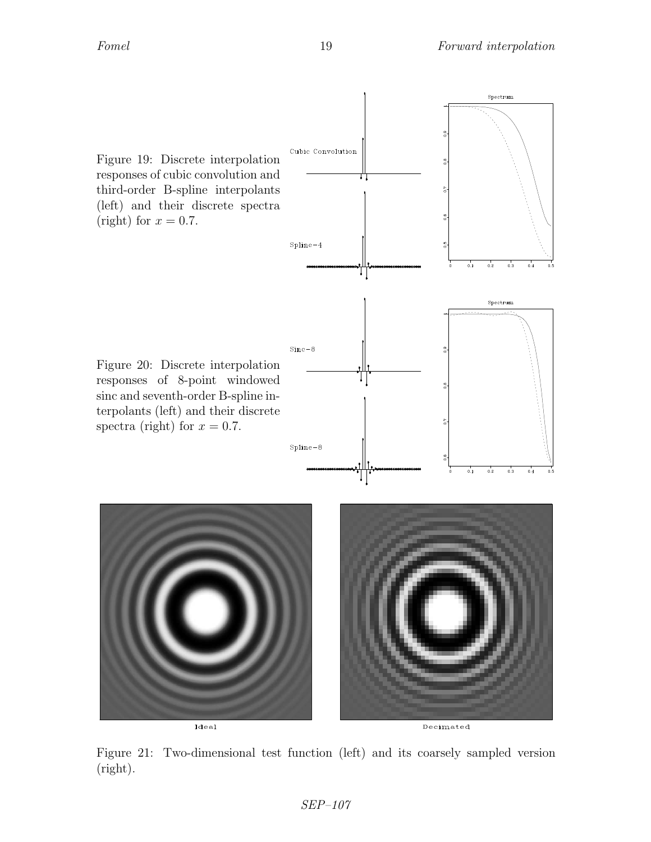Spectrum



Ideal

Decimated

Figure 21: Two-dimensional test function (left) and its coarsely sampled version (right).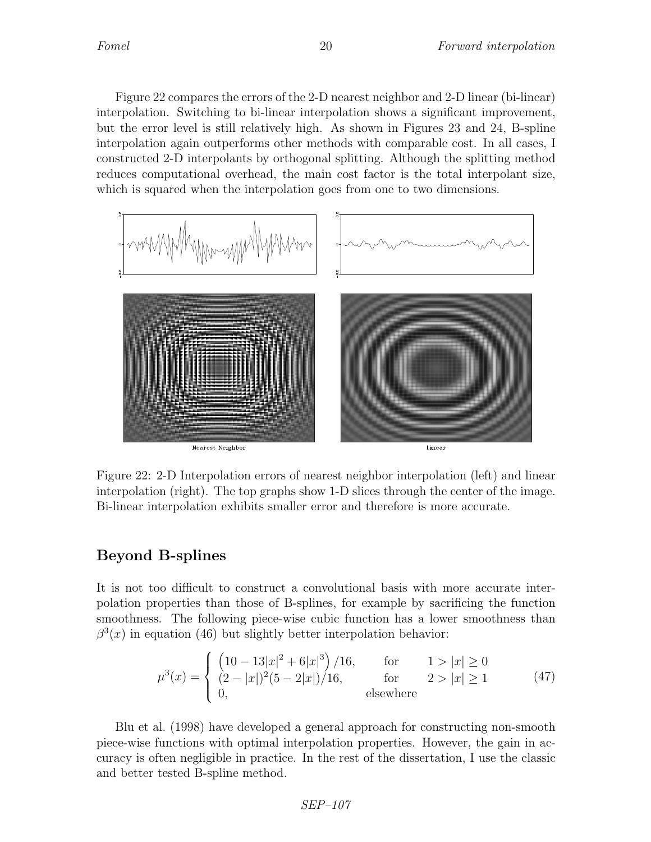Figure 22 compares the errors of the 2-D nearest neighbor and 2-D linear (bi-linear) interpolation. Switching to bi-linear interpolation shows a significant improvement, but the error level is still relatively high. As shown in Figures 23 and 24, B-spline interpolation again outperforms other methods with comparable cost. In all cases, I constructed 2-D interpolants by orthogonal splitting. Although the splitting method reduces computational overhead, the main cost factor is the total interpolant size, which is squared when the interpolation goes from one to two dimensions.



Figure 22: 2-D Interpolation errors of nearest neighbor interpolation (left) and linear interpolation (right). The top graphs show 1-D slices through the center of the image. Bi-linear interpolation exhibits smaller error and therefore is more accurate.

## Beyond B-splines

It is not too difficult to construct a convolutional basis with more accurate interpolation properties than those of B-splines, for example by sacrificing the function smoothness. The following piece-wise cubic function has a lower smoothness than  $\beta^{3}(x)$  in equation (46) but slightly better interpolation behavior:

$$
\mu^{3}(x) = \begin{cases}\n\left(10 - 13|x|^{2} + 6|x|^{3}\right) / 16, & \text{for} & 1 > |x| \ge 0 \\
(2 - |x|)^{2}(5 - 2|x|) / 16, & \text{for} & 2 > |x| \ge 1 \\
0, & \text{elsewhere}\n\end{cases}
$$
\n(47)

Blu et al. (1998) have developed a general approach for constructing non-smooth piece-wise functions with optimal interpolation properties. However, the gain in accuracy is often negligible in practice. In the rest of the dissertation, I use the classic and better tested B-spline method.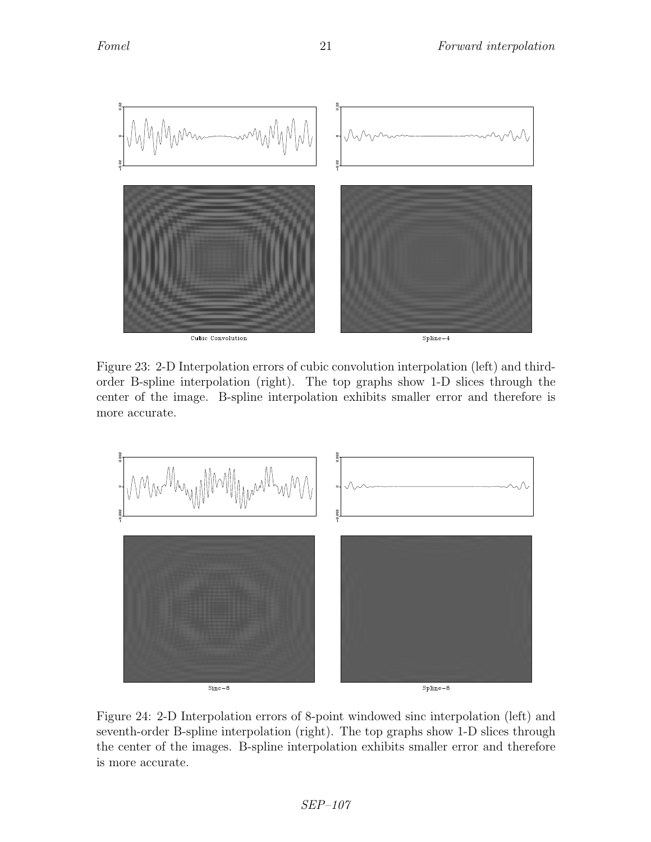

Figure 23: 2-D Interpolation errors of cubic convolution interpolation (left) and thirdorder B-spline interpolation (right). The top graphs show 1-D slices through the center of the image. B-spline interpolation exhibits smaller error and therefore is more accurate.



Figure 24: 2-D Interpolation errors of 8-point windowed sinc interpolation (left) and seventh-order B-spline interpolation (right). The top graphs show 1-D slices through the center of the images. B-spline interpolation exhibits smaller error and therefore is more accurate.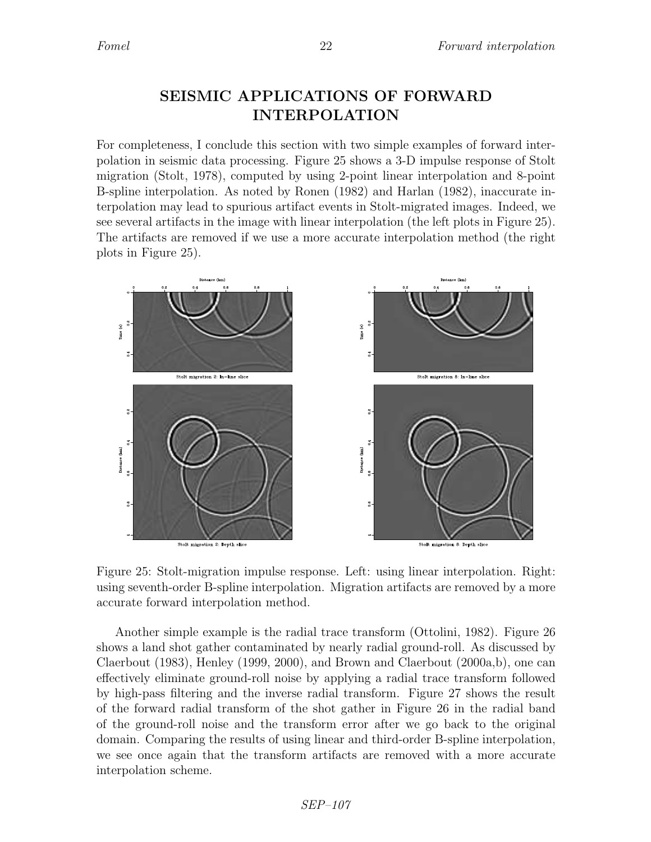# SEISMIC APPLICATIONS OF FORWARD INTERPOLATION

For completeness, I conclude this section with two simple examples of forward interpolation in seismic data processing. Figure 25 shows a 3-D impulse response of Stolt migration (Stolt, 1978), computed by using 2-point linear interpolation and 8-point B-spline interpolation. As noted by Ronen (1982) and Harlan (1982), inaccurate interpolation may lead to spurious artifact events in Stolt-migrated images. Indeed, we see several artifacts in the image with linear interpolation (the left plots in Figure 25). The artifacts are removed if we use a more accurate interpolation method (the right plots in Figure 25).



Figure 25: Stolt-migration impulse response. Left: using linear interpolation. Right: using seventh-order B-spline interpolation. Migration artifacts are removed by a more accurate forward interpolation method.

Another simple example is the radial trace transform (Ottolini, 1982). Figure 26 shows a land shot gather contaminated by nearly radial ground-roll. As discussed by Claerbout (1983), Henley (1999, 2000), and Brown and Claerbout (2000a,b), one can effectively eliminate ground-roll noise by applying a radial trace transform followed by high-pass filtering and the inverse radial transform. Figure 27 shows the result of the forward radial transform of the shot gather in Figure 26 in the radial band of the ground-roll noise and the transform error after we go back to the original domain. Comparing the results of using linear and third-order B-spline interpolation, we see once again that the transform artifacts are removed with a more accurate interpolation scheme.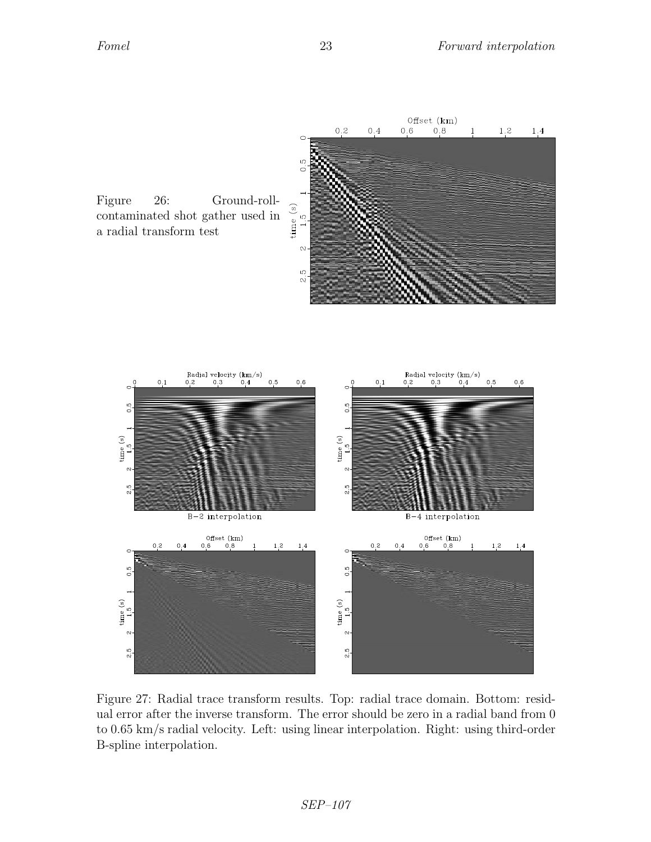

Figure 26: Ground-rollcontaminated shot gather used in a radial transform test



Figure 27: Radial trace transform results. Top: radial trace domain. Bottom: residual error after the inverse transform. The error should be zero in a radial band from 0 to 0.65 km/s radial velocity. Left: using linear interpolation. Right: using third-order B-spline interpolation.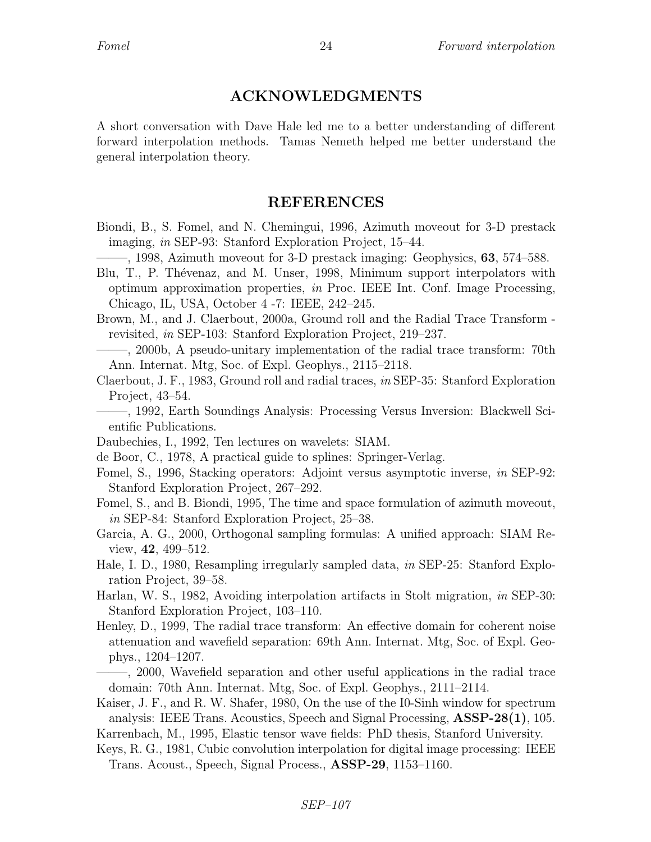### ACKNOWLEDGMENTS

A short conversation with Dave Hale led me to a better understanding of different forward interpolation methods. Tamas Nemeth helped me better understand the general interpolation theory.

### REFERENCES

- Biondi, B., S. Fomel, and N. Chemingui, 1996, Azimuth moveout for 3-D prestack imaging, in SEP-93: Stanford Exploration Project, 15–44.
	- $-$ , 1998, Azimuth moveout for 3-D prestack imaging: Geophysics, 63, 574–588.
- Blu, T., P. Thévenaz, and M. Unser, 1998, Minimum support interpolators with optimum approximation properties, in Proc. IEEE Int. Conf. Image Processing, Chicago, IL, USA, October 4 -7: IEEE, 242–245.
- Brown, M., and J. Claerbout, 2000a, Ground roll and the Radial Trace Transform revisited, in SEP-103: Stanford Exploration Project, 219–237.

——–, 2000b, A pseudo-unitary implementation of the radial trace transform: 70th Ann. Internat. Mtg, Soc. of Expl. Geophys., 2115–2118.

Claerbout, J. F., 1983, Ground roll and radial traces, in SEP-35: Stanford Exploration Project, 43–54.

——–, 1992, Earth Soundings Analysis: Processing Versus Inversion: Blackwell Scientific Publications.

Daubechies, I., 1992, Ten lectures on wavelets: SIAM.

de Boor, C., 1978, A practical guide to splines: Springer-Verlag.

Fomel, S., 1996, Stacking operators: Adjoint versus asymptotic inverse, in SEP-92: Stanford Exploration Project, 267–292.

Fomel, S., and B. Biondi, 1995, The time and space formulation of azimuth moveout, in SEP-84: Stanford Exploration Project, 25–38.

Garcia, A. G., 2000, Orthogonal sampling formulas: A unified approach: SIAM Review, 42, 499–512.

- Hale, I. D., 1980, Resampling irregularly sampled data, in SEP-25: Stanford Exploration Project, 39–58.
- Harlan, W. S., 1982, Avoiding interpolation artifacts in Stolt migration, in SEP-30: Stanford Exploration Project, 103–110.
- Henley, D., 1999, The radial trace transform: An effective domain for coherent noise attenuation and wavefield separation: 69th Ann. Internat. Mtg, Soc. of Expl. Geophys., 1204–1207.
- ——–, 2000, Wavefield separation and other useful applications in the radial trace domain: 70th Ann. Internat. Mtg, Soc. of Expl. Geophys., 2111–2114.
- Kaiser, J. F., and R. W. Shafer, 1980, On the use of the I0-Sinh window for spectrum analysis: IEEE Trans. Acoustics, Speech and Signal Processing, ASSP-28(1), 105. Karrenbach, M., 1995, Elastic tensor wave fields: PhD thesis, Stanford University.
- Keys, R. G., 1981, Cubic convolution interpolation for digital image processing: IEEE Trans. Acoust., Speech, Signal Process., ASSP-29, 1153–1160.